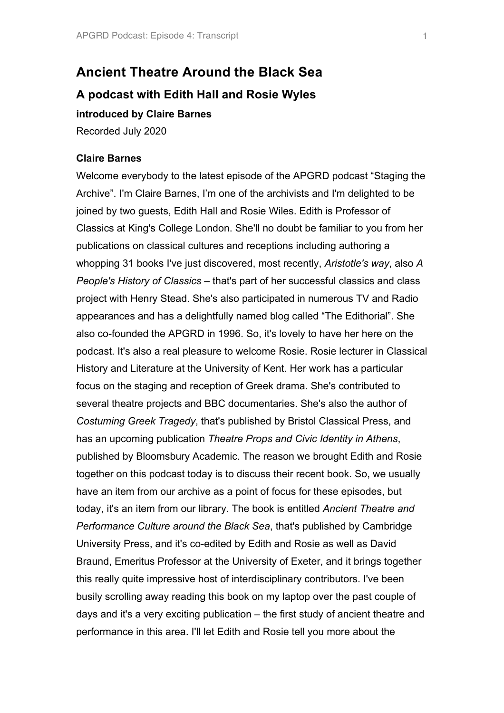# **Ancient Theatre Around the Black Sea**

# **A podcast with Edith Hall and Rosie Wyles**

**introduced by Claire Barnes**

Recorded July 2020

#### **Claire Barnes**

Welcome everybody to the latest episode of the APGRD podcast "Staging the Archive". I'm Claire Barnes, I'm one of the archivists and I'm delighted to be joined by two guests, Edith Hall and Rosie Wiles. Edith is Professor of Classics at King's College London. She'll no doubt be familiar to you from her publications on classical cultures and receptions including authoring a whopping 31 books I've just discovered, most recently, *Aristotle's way*, also *A People's History of Classics* – that's part of her successful classics and class project with Henry Stead. She's also participated in numerous TV and Radio appearances and has a delightfully named blog called "The Edithorial". She also co-founded the APGRD in 1996. So, it's lovely to have her here on the podcast. It's also a real pleasure to welcome Rosie. Rosie lecturer in Classical History and Literature at the University of Kent. Her work has a particular focus on the staging and reception of Greek drama. She's contributed to several theatre projects and BBC documentaries. She's also the author of *Costuming Greek Tragedy*, that's published by Bristol Classical Press, and has an upcoming publication *Theatre Props and Civic Identity in Athens*, published by Bloomsbury Academic. The reason we brought Edith and Rosie together on this podcast today is to discuss their recent book. So, we usually have an item from our archive as a point of focus for these episodes, but today, it's an item from our library. The book is entitled *Ancient Theatre and Performance Culture around the Black Sea*, that's published by Cambridge University Press, and it's co-edited by Edith and Rosie as well as David Braund, Emeritus Professor at the University of Exeter, and it brings together this really quite impressive host of interdisciplinary contributors. I've been busily scrolling away reading this book on my laptop over the past couple of days and it's a very exciting publication – the first study of ancient theatre and performance in this area. I'll let Edith and Rosie tell you more about the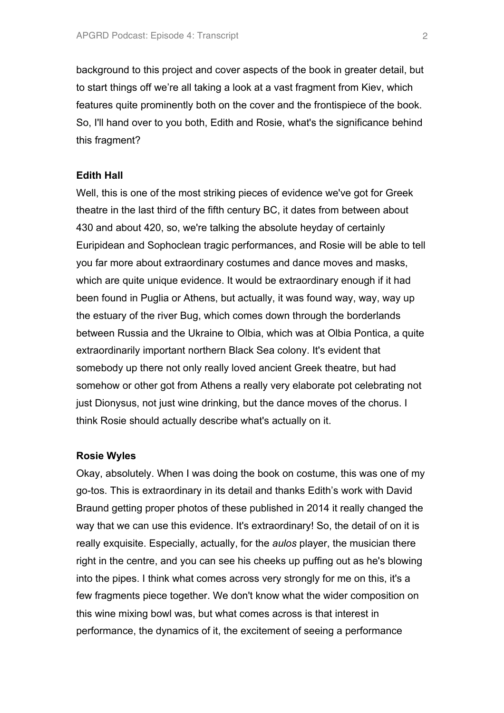background to this project and cover aspects of the book in greater detail, but to start things off we're all taking a look at a vast fragment from Kiev, which features quite prominently both on the cover and the frontispiece of the book. So, I'll hand over to you both, Edith and Rosie, what's the significance behind this fragment?

#### **Edith Hall**

Well, this is one of the most striking pieces of evidence we've got for Greek theatre in the last third of the fifth century BC, it dates from between about 430 and about 420, so, we're talking the absolute heyday of certainly Euripidean and Sophoclean tragic performances, and Rosie will be able to tell you far more about extraordinary costumes and dance moves and masks, which are quite unique evidence. It would be extraordinary enough if it had been found in Puglia or Athens, but actually, it was found way, way, way up the estuary of the river Bug, which comes down through the borderlands between Russia and the Ukraine to Olbia, which was at Olbia Pontica, a quite extraordinarily important northern Black Sea colony. It's evident that somebody up there not only really loved ancient Greek theatre, but had somehow or other got from Athens a really very elaborate pot celebrating not just Dionysus, not just wine drinking, but the dance moves of the chorus. I think Rosie should actually describe what's actually on it.

#### **Rosie Wyles**

Okay, absolutely. When I was doing the book on costume, this was one of my go-tos. This is extraordinary in its detail and thanks Edith's work with David Braund getting proper photos of these published in 2014 it really changed the way that we can use this evidence. It's extraordinary! So, the detail of on it is really exquisite. Especially, actually, for the *aulos* player, the musician there right in the centre, and you can see his cheeks up puffing out as he's blowing into the pipes. I think what comes across very strongly for me on this, it's a few fragments piece together. We don't know what the wider composition on this wine mixing bowl was, but what comes across is that interest in performance, the dynamics of it, the excitement of seeing a performance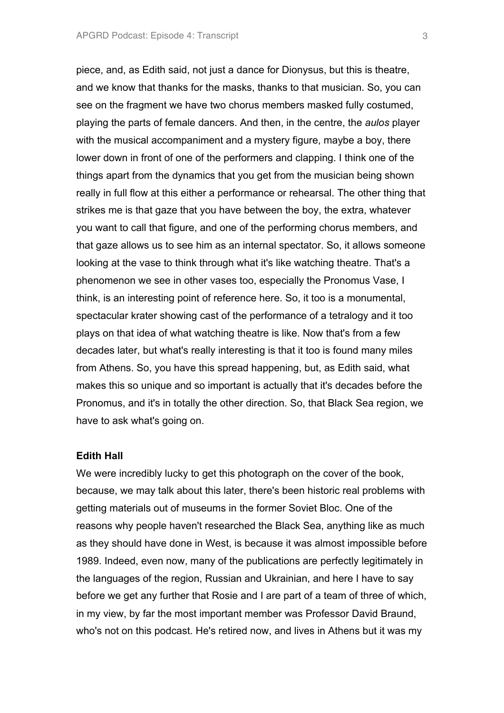piece, and, as Edith said, not just a dance for Dionysus, but this is theatre, and we know that thanks for the masks, thanks to that musician. So, you can see on the fragment we have two chorus members masked fully costumed, playing the parts of female dancers. And then, in the centre, the *aulos* player with the musical accompaniment and a mystery figure, maybe a boy, there lower down in front of one of the performers and clapping. I think one of the things apart from the dynamics that you get from the musician being shown really in full flow at this either a performance or rehearsal. The other thing that strikes me is that gaze that you have between the boy, the extra, whatever you want to call that figure, and one of the performing chorus members, and that gaze allows us to see him as an internal spectator. So, it allows someone looking at the vase to think through what it's like watching theatre. That's a phenomenon we see in other vases too, especially the Pronomus Vase, I think, is an interesting point of reference here. So, it too is a monumental, spectacular krater showing cast of the performance of a tetralogy and it too plays on that idea of what watching theatre is like. Now that's from a few decades later, but what's really interesting is that it too is found many miles from Athens. So, you have this spread happening, but, as Edith said, what makes this so unique and so important is actually that it's decades before the Pronomus, and it's in totally the other direction. So, that Black Sea region, we have to ask what's going on.

#### **Edith Hall**

We were incredibly lucky to get this photograph on the cover of the book, because, we may talk about this later, there's been historic real problems with getting materials out of museums in the former Soviet Bloc. One of the reasons why people haven't researched the Black Sea, anything like as much as they should have done in West, is because it was almost impossible before 1989. Indeed, even now, many of the publications are perfectly legitimately in the languages of the region, Russian and Ukrainian, and here I have to say before we get any further that Rosie and I are part of a team of three of which, in my view, by far the most important member was Professor David Braund, who's not on this podcast. He's retired now, and lives in Athens but it was my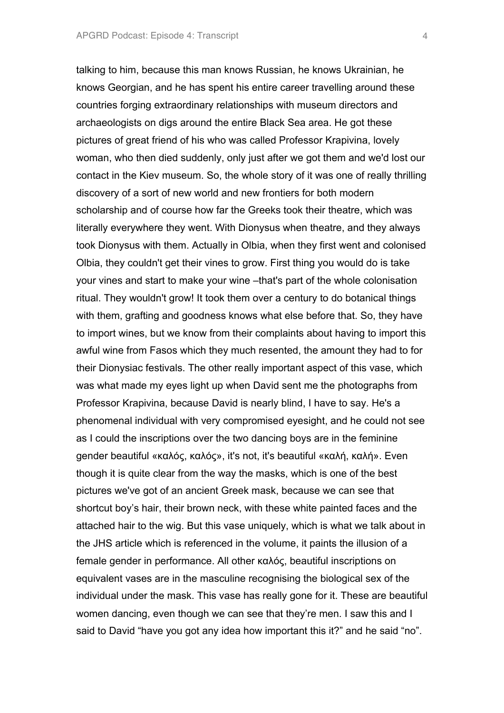talking to him, because this man knows Russian, he knows Ukrainian, he knows Georgian, and he has spent his entire career travelling around these countries forging extraordinary relationships with museum directors and archaeologists on digs around the entire Black Sea area. He got these pictures of great friend of his who was called Professor Krapivina, lovely woman, who then died suddenly, only just after we got them and we'd lost our contact in the Kiev museum. So, the whole story of it was one of really thrilling discovery of a sort of new world and new frontiers for both modern scholarship and of course how far the Greeks took their theatre, which was literally everywhere they went. With Dionysus when theatre, and they always took Dionysus with them. Actually in Olbia, when they first went and colonised Olbia, they couldn't get their vines to grow. First thing you would do is take your vines and start to make your wine –that's part of the whole colonisation ritual. They wouldn't grow! It took them over a century to do botanical things with them, grafting and goodness knows what else before that. So, they have to import wines, but we know from their complaints about having to import this awful wine from Fasos which they much resented, the amount they had to for their Dionysiac festivals. The other really important aspect of this vase, which was what made my eyes light up when David sent me the photographs from Professor Krapivina, because David is nearly blind, I have to say. He's a phenomenal individual with very compromised eyesight, and he could not see as I could the inscriptions over the two dancing boys are in the feminine gender beautiful «καλός, καλός», it's not, it's beautiful «καλή, καλή». Even though it is quite clear from the way the masks, which is one of the best pictures we've got of an ancient Greek mask, because we can see that shortcut boy's hair, their brown neck, with these white painted faces and the attached hair to the wig. But this vase uniquely, which is what we talk about in the JHS article which is referenced in the volume, it paints the illusion of a female gender in performance. All other καλός, beautiful inscriptions on equivalent vases are in the masculine recognising the biological sex of the individual under the mask. This vase has really gone for it. These are beautiful women dancing, even though we can see that they're men. I saw this and I said to David "have you got any idea how important this it?" and he said "no".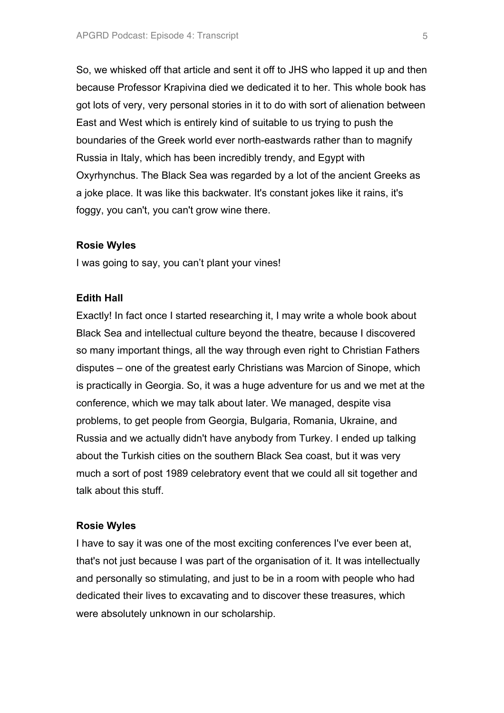So, we whisked off that article and sent it off to JHS who lapped it up and then because Professor Krapivina died we dedicated it to her. This whole book has got lots of very, very personal stories in it to do with sort of alienation between East and West which is entirely kind of suitable to us trying to push the boundaries of the Greek world ever north-eastwards rather than to magnify Russia in Italy, which has been incredibly trendy, and Egypt with Oxyrhynchus. The Black Sea was regarded by a lot of the ancient Greeks as a joke place. It was like this backwater. It's constant jokes like it rains, it's foggy, you can't, you can't grow wine there.

#### **Rosie Wyles**

I was going to say, you can't plant your vines!

## **Edith Hall**

Exactly! In fact once I started researching it, I may write a whole book about Black Sea and intellectual culture beyond the theatre, because I discovered so many important things, all the way through even right to Christian Fathers disputes – one of the greatest early Christians was Marcion of Sinope, which is practically in Georgia. So, it was a huge adventure for us and we met at the conference, which we may talk about later. We managed, despite visa problems, to get people from Georgia, Bulgaria, Romania, Ukraine, and Russia and we actually didn't have anybody from Turkey. I ended up talking about the Turkish cities on the southern Black Sea coast, but it was very much a sort of post 1989 celebratory event that we could all sit together and talk about this stuff.

## **Rosie Wyles**

I have to say it was one of the most exciting conferences I've ever been at, that's not just because I was part of the organisation of it. It was intellectually and personally so stimulating, and just to be in a room with people who had dedicated their lives to excavating and to discover these treasures, which were absolutely unknown in our scholarship.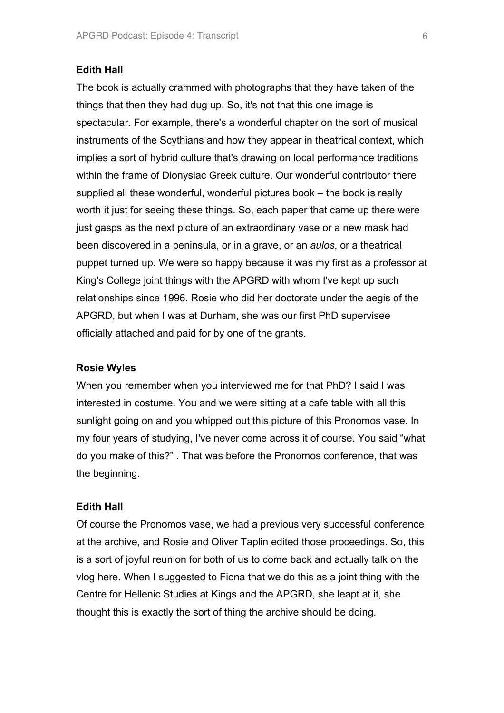## **Edith Hall**

The book is actually crammed with photographs that they have taken of the things that then they had dug up. So, it's not that this one image is spectacular. For example, there's a wonderful chapter on the sort of musical instruments of the Scythians and how they appear in theatrical context, which implies a sort of hybrid culture that's drawing on local performance traditions within the frame of Dionysiac Greek culture. Our wonderful contributor there supplied all these wonderful, wonderful pictures book – the book is really worth it just for seeing these things. So, each paper that came up there were just gasps as the next picture of an extraordinary vase or a new mask had been discovered in a peninsula, or in a grave, or an *aulos*, or a theatrical puppet turned up. We were so happy because it was my first as a professor at King's College joint things with the APGRD with whom I've kept up such relationships since 1996. Rosie who did her doctorate under the aegis of the APGRD, but when I was at Durham, she was our first PhD supervisee officially attached and paid for by one of the grants.

#### **Rosie Wyles**

When you remember when you interviewed me for that PhD? I said I was interested in costume. You and we were sitting at a cafe table with all this sunlight going on and you whipped out this picture of this Pronomos vase. In my four years of studying, I've never come across it of course. You said "what do you make of this?" . That was before the Pronomos conference, that was the beginning.

## **Edith Hall**

Of course the Pronomos vase, we had a previous very successful conference at the archive, and Rosie and Oliver Taplin edited those proceedings. So, this is a sort of joyful reunion for both of us to come back and actually talk on the vlog here. When I suggested to Fiona that we do this as a joint thing with the Centre for Hellenic Studies at Kings and the APGRD, she leapt at it, she thought this is exactly the sort of thing the archive should be doing.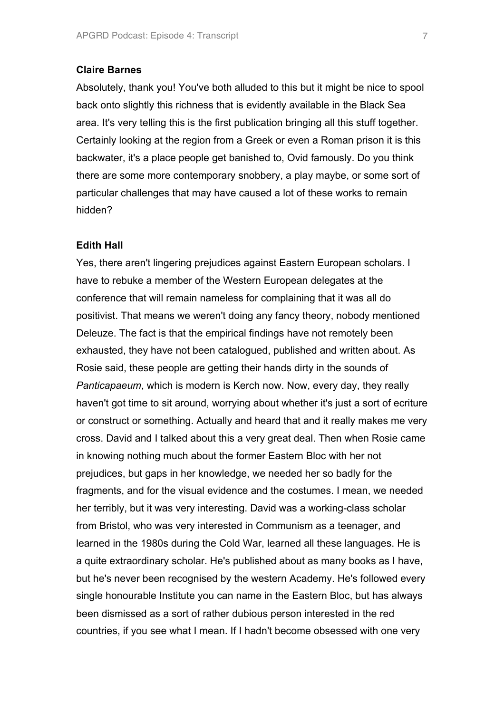## **Claire Barnes**

Absolutely, thank you! You've both alluded to this but it might be nice to spool back onto slightly this richness that is evidently available in the Black Sea area. It's very telling this is the first publication bringing all this stuff together. Certainly looking at the region from a Greek or even a Roman prison it is this backwater, it's a place people get banished to, Ovid famously. Do you think there are some more contemporary snobbery, a play maybe, or some sort of particular challenges that may have caused a lot of these works to remain hidden?

#### **Edith Hall**

Yes, there aren't lingering prejudices against Eastern European scholars. I have to rebuke a member of the Western European delegates at the conference that will remain nameless for complaining that it was all do positivist. That means we weren't doing any fancy theory, nobody mentioned Deleuze. The fact is that the empirical findings have not remotely been exhausted, they have not been catalogued, published and written about. As Rosie said, these people are getting their hands dirty in the sounds of *Panticapaeum*, which is modern is Kerch now. Now, every day, they really haven't got time to sit around, worrying about whether it's just a sort of ecriture or construct or something. Actually and heard that and it really makes me very cross. David and I talked about this a very great deal. Then when Rosie came in knowing nothing much about the former Eastern Bloc with her not prejudices, but gaps in her knowledge, we needed her so badly for the fragments, and for the visual evidence and the costumes. I mean, we needed her terribly, but it was very interesting. David was a working-class scholar from Bristol, who was very interested in Communism as a teenager, and learned in the 1980s during the Cold War, learned all these languages. He is a quite extraordinary scholar. He's published about as many books as I have, but he's never been recognised by the western Academy. He's followed every single honourable Institute you can name in the Eastern Bloc, but has always been dismissed as a sort of rather dubious person interested in the red countries, if you see what I mean. If I hadn't become obsessed with one very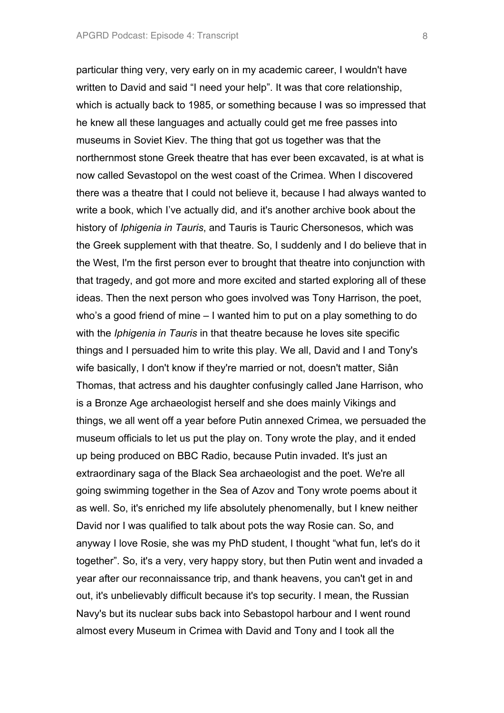particular thing very, very early on in my academic career, I wouldn't have written to David and said "I need your help". It was that core relationship, which is actually back to 1985, or something because I was so impressed that he knew all these languages and actually could get me free passes into museums in Soviet Kiev. The thing that got us together was that the northernmost stone Greek theatre that has ever been excavated, is at what is now called Sevastopol on the west coast of the Crimea. When I discovered there was a theatre that I could not believe it, because I had always wanted to write a book, which I've actually did, and it's another archive book about the history of *Iphigenia in Tauris*, and Tauris is Tauric Chersonesos, which was the Greek supplement with that theatre. So, I suddenly and I do believe that in the West, I'm the first person ever to brought that theatre into conjunction with that tragedy, and got more and more excited and started exploring all of these ideas. Then the next person who goes involved was Tony Harrison, the poet, who's a good friend of mine – I wanted him to put on a play something to do with the *Iphigenia in Tauris* in that theatre because he loves site specific things and I persuaded him to write this play. We all, David and I and Tony's wife basically, I don't know if they're married or not, doesn't matter, Siân Thomas, that actress and his daughter confusingly called Jane Harrison, who is a Bronze Age archaeologist herself and she does mainly Vikings and things, we all went off a year before Putin annexed Crimea, we persuaded the museum officials to let us put the play on. Tony wrote the play, and it ended up being produced on BBC Radio, because Putin invaded. It's just an extraordinary saga of the Black Sea archaeologist and the poet. We're all going swimming together in the Sea of Azov and Tony wrote poems about it as well. So, it's enriched my life absolutely phenomenally, but I knew neither David nor I was qualified to talk about pots the way Rosie can. So, and anyway I love Rosie, she was my PhD student, I thought "what fun, let's do it together". So, it's a very, very happy story, but then Putin went and invaded a year after our reconnaissance trip, and thank heavens, you can't get in and out, it's unbelievably difficult because it's top security. I mean, the Russian Navy's but its nuclear subs back into Sebastopol harbour and I went round almost every Museum in Crimea with David and Tony and I took all the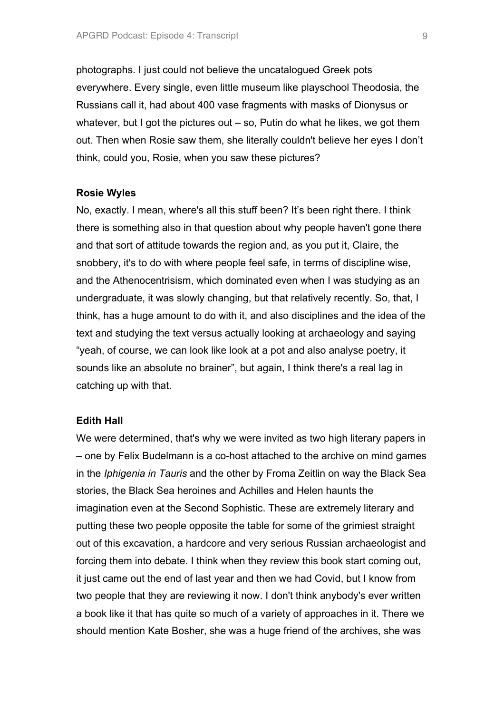photographs. I just could not believe the uncatalogued Greek pots everywhere. Every single, even little museum like playschool Theodosia, the Russians call it, had about 400 vase fragments with masks of Dionysus or whatever, but I got the pictures out  $-$  so, Putin do what he likes, we got them out. Then when Rosie saw them, she literally couldn't believe her eyes I don't think, could you, Rosie, when you saw these pictures?

#### **Rosie Wyles**

No, exactly. I mean, where's all this stuff been? It's been right there. I think there is something also in that question about why people haven't gone there and that sort of attitude towards the region and, as you put it, Claire, the snobbery, it's to do with where people feel safe, in terms of discipline wise, and the Athenocentrisism, which dominated even when I was studying as an undergraduate, it was slowly changing, but that relatively recently. So, that, I think, has a huge amount to do with it, and also disciplines and the idea of the text and studying the text versus actually looking at archaeology and saying "yeah, of course, we can look like look at a pot and also analyse poetry, it sounds like an absolute no brainer", but again, I think there's a real lag in catching up with that.

#### **Edith Hall**

We were determined, that's why we were invited as two high literary papers in – one by Felix Budelmann is a co-host attached to the archive on mind games in the *Iphigenia in Tauris* and the other by Froma Zeitlin on way the Black Sea stories, the Black Sea heroines and Achilles and Helen haunts the imagination even at the Second Sophistic. These are extremely literary and putting these two people opposite the table for some of the grimiest straight out of this excavation, a hardcore and very serious Russian archaeologist and forcing them into debate. I think when they review this book start coming out, it just came out the end of last year and then we had Covid, but I know from two people that they are reviewing it now. I don't think anybody's ever written a book like it that has quite so much of a variety of approaches in it. There we should mention Kate Bosher, she was a huge friend of the archives, she was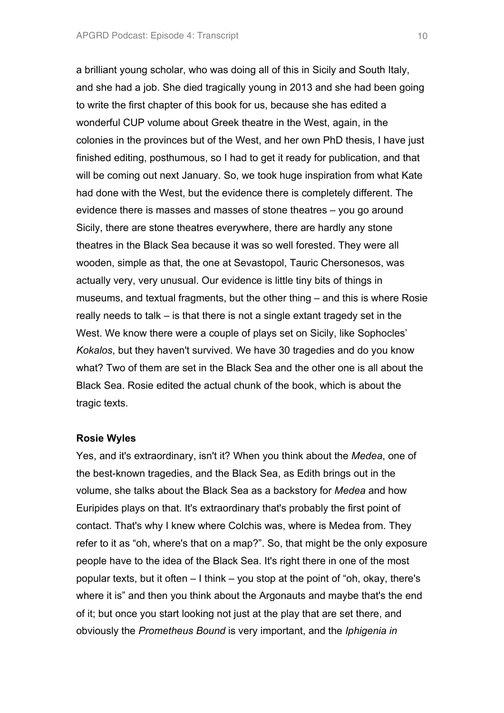a brilliant young scholar, who was doing all of this in Sicily and South Italy, and she had a job. She died tragically young in 2013 and she had been going to write the first chapter of this book for us, because she has edited a wonderful CUP volume about Greek theatre in the West, again, in the colonies in the provinces but of the West, and her own PhD thesis, I have just finished editing, posthumous, so I had to get it ready for publication, and that will be coming out next January. So, we took huge inspiration from what Kate had done with the West, but the evidence there is completely different. The evidence there is masses and masses of stone theatres – you go around Sicily, there are stone theatres everywhere, there are hardly any stone theatres in the Black Sea because it was so well forested. They were all wooden, simple as that, the one at Sevastopol, Tauric Chersonesos, was actually very, very unusual. Our evidence is little tiny bits of things in museums, and textual fragments, but the other thing – and this is where Rosie really needs to talk – is that there is not a single extant tragedy set in the West. We know there were a couple of plays set on Sicily, like Sophocles' *Kokalos*, but they haven't survived. We have 30 tragedies and do you know what? Two of them are set in the Black Sea and the other one is all about the Black Sea. Rosie edited the actual chunk of the book, which is about the tragic texts.

#### **Rosie Wyles**

Yes, and it's extraordinary, isn't it? When you think about the *Medea*, one of the best-known tragedies, and the Black Sea, as Edith brings out in the volume, she talks about the Black Sea as a backstory for *Medea* and how Euripides plays on that. It's extraordinary that's probably the first point of contact. That's why I knew where Colchis was, where is Medea from. They refer to it as "oh, where's that on a map?". So, that might be the only exposure people have to the idea of the Black Sea. It's right there in one of the most popular texts, but it often – I think – you stop at the point of "oh, okay, there's where it is" and then you think about the Argonauts and maybe that's the end of it; but once you start looking not just at the play that are set there, and obviously the *Prometheus Bound* is very important, and the *Iphigenia in*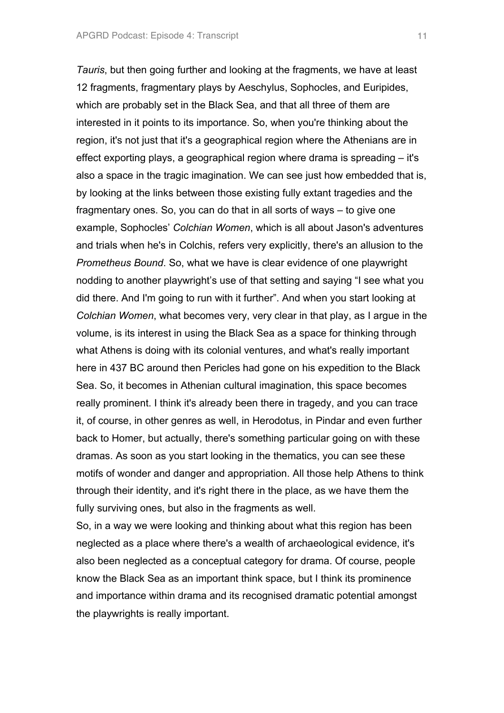*Tauris*, but then going further and looking at the fragments, we have at least 12 fragments, fragmentary plays by Aeschylus, Sophocles, and Euripides, which are probably set in the Black Sea, and that all three of them are interested in it points to its importance. So, when you're thinking about the region, it's not just that it's a geographical region where the Athenians are in effect exporting plays, a geographical region where drama is spreading – it's also a space in the tragic imagination. We can see just how embedded that is, by looking at the links between those existing fully extant tragedies and the fragmentary ones. So, you can do that in all sorts of ways – to give one example, Sophocles' *Colchian Women*, which is all about Jason's adventures and trials when he's in Colchis, refers very explicitly, there's an allusion to the *Prometheus Bound*. So, what we have is clear evidence of one playwright nodding to another playwright's use of that setting and saying "I see what you did there. And I'm going to run with it further". And when you start looking at *Colchian Women*, what becomes very, very clear in that play, as I argue in the volume, is its interest in using the Black Sea as a space for thinking through what Athens is doing with its colonial ventures, and what's really important here in 437 BC around then Pericles had gone on his expedition to the Black Sea. So, it becomes in Athenian cultural imagination, this space becomes really prominent. I think it's already been there in tragedy, and you can trace it, of course, in other genres as well, in Herodotus, in Pindar and even further back to Homer, but actually, there's something particular going on with these dramas. As soon as you start looking in the thematics, you can see these motifs of wonder and danger and appropriation. All those help Athens to think through their identity, and it's right there in the place, as we have them the fully surviving ones, but also in the fragments as well.

So, in a way we were looking and thinking about what this region has been neglected as a place where there's a wealth of archaeological evidence, it's also been neglected as a conceptual category for drama. Of course, people know the Black Sea as an important think space, but I think its prominence and importance within drama and its recognised dramatic potential amongst the playwrights is really important.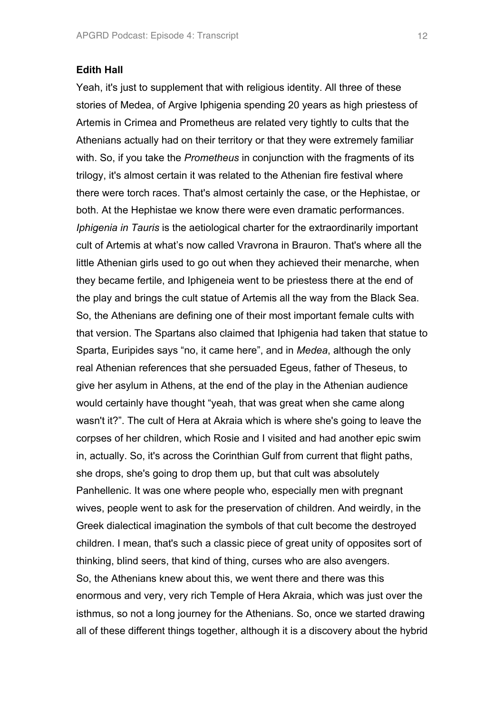#### **Edith Hall**

Yeah, it's just to supplement that with religious identity. All three of these stories of Medea, of Argive Iphigenia spending 20 years as high priestess of Artemis in Crimea and Prometheus are related very tightly to cults that the Athenians actually had on their territory or that they were extremely familiar with. So, if you take the *Prometheus* in conjunction with the fragments of its trilogy, it's almost certain it was related to the Athenian fire festival where there were torch races. That's almost certainly the case, or the Hephistae, or both. At the Hephistae we know there were even dramatic performances. *Iphigenia in Tauris* is the aetiological charter for the extraordinarily important cult of Artemis at what's now called Vravrona in Brauron. That's where all the little Athenian girls used to go out when they achieved their menarche, when they became fertile, and Iphigeneia went to be priestess there at the end of the play and brings the cult statue of Artemis all the way from the Black Sea. So, the Athenians are defining one of their most important female cults with that version. The Spartans also claimed that Iphigenia had taken that statue to Sparta, Euripides says "no, it came here", and in *Medea*, although the only real Athenian references that she persuaded Egeus, father of Theseus, to give her asylum in Athens, at the end of the play in the Athenian audience would certainly have thought "yeah, that was great when she came along wasn't it?". The cult of Hera at Akraia which is where she's going to leave the corpses of her children, which Rosie and I visited and had another epic swim in, actually. So, it's across the Corinthian Gulf from current that flight paths, she drops, she's going to drop them up, but that cult was absolutely Panhellenic. It was one where people who, especially men with pregnant wives, people went to ask for the preservation of children. And weirdly, in the Greek dialectical imagination the symbols of that cult become the destroyed children. I mean, that's such a classic piece of great unity of opposites sort of thinking, blind seers, that kind of thing, curses who are also avengers. So, the Athenians knew about this, we went there and there was this enormous and very, very rich Temple of Hera Akraia, which was just over the isthmus, so not a long journey for the Athenians. So, once we started drawing all of these different things together, although it is a discovery about the hybrid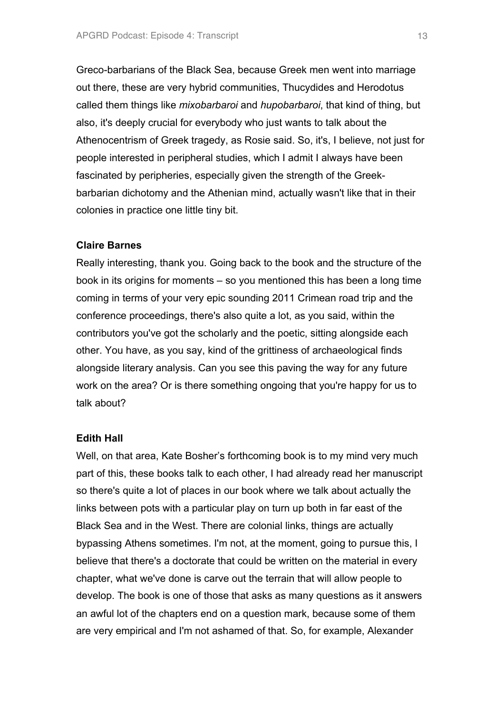Greco-barbarians of the Black Sea, because Greek men went into marriage out there, these are very hybrid communities, Thucydides and Herodotus called them things like *mixobarbaroi* and *hupobarbaroi*, that kind of thing, but also, it's deeply crucial for everybody who just wants to talk about the Athenocentrism of Greek tragedy, as Rosie said. So, it's, I believe, not just for people interested in peripheral studies, which I admit I always have been fascinated by peripheries, especially given the strength of the Greekbarbarian dichotomy and the Athenian mind, actually wasn't like that in their colonies in practice one little tiny bit.

## **Claire Barnes**

Really interesting, thank you. Going back to the book and the structure of the book in its origins for moments – so you mentioned this has been a long time coming in terms of your very epic sounding 2011 Crimean road trip and the conference proceedings, there's also quite a lot, as you said, within the contributors you've got the scholarly and the poetic, sitting alongside each other. You have, as you say, kind of the grittiness of archaeological finds alongside literary analysis. Can you see this paving the way for any future work on the area? Or is there something ongoing that you're happy for us to talk about?

#### **Edith Hall**

Well, on that area, Kate Bosher's forthcoming book is to my mind very much part of this, these books talk to each other, I had already read her manuscript so there's quite a lot of places in our book where we talk about actually the links between pots with a particular play on turn up both in far east of the Black Sea and in the West. There are colonial links, things are actually bypassing Athens sometimes. I'm not, at the moment, going to pursue this, I believe that there's a doctorate that could be written on the material in every chapter, what we've done is carve out the terrain that will allow people to develop. The book is one of those that asks as many questions as it answers an awful lot of the chapters end on a question mark, because some of them are very empirical and I'm not ashamed of that. So, for example, Alexander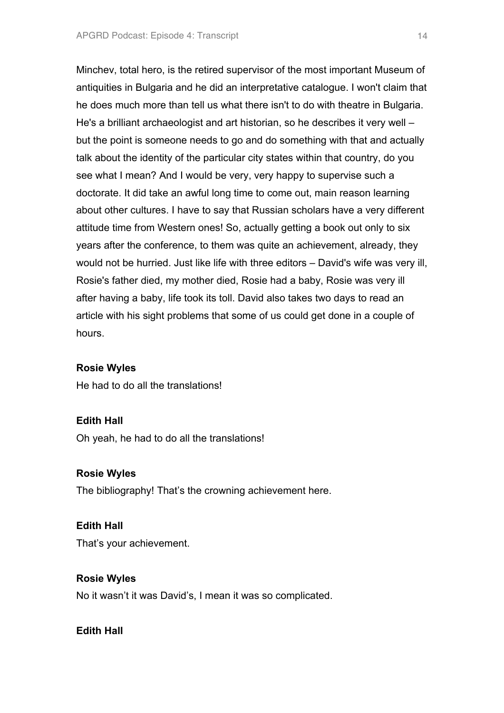Minchev, total hero, is the retired supervisor of the most important Museum of antiquities in Bulgaria and he did an interpretative catalogue. I won't claim that he does much more than tell us what there isn't to do with theatre in Bulgaria. He's a brilliant archaeologist and art historian, so he describes it very well – but the point is someone needs to go and do something with that and actually talk about the identity of the particular city states within that country, do you see what I mean? And I would be very, very happy to supervise such a doctorate. It did take an awful long time to come out, main reason learning about other cultures. I have to say that Russian scholars have a very different attitude time from Western ones! So, actually getting a book out only to six years after the conference, to them was quite an achievement, already, they would not be hurried. Just like life with three editors – David's wife was very ill, Rosie's father died, my mother died, Rosie had a baby, Rosie was very ill after having a baby, life took its toll. David also takes two days to read an article with his sight problems that some of us could get done in a couple of hours.

# **Rosie Wyles**

He had to do all the translations!

# **Edith Hall**

Oh yeah, he had to do all the translations!

## **Rosie Wyles**

The bibliography! That's the crowning achievement here.

## **Edith Hall**

That's your achievement.

# **Rosie Wyles**

No it wasn't it was David's, I mean it was so complicated.

# **Edith Hall**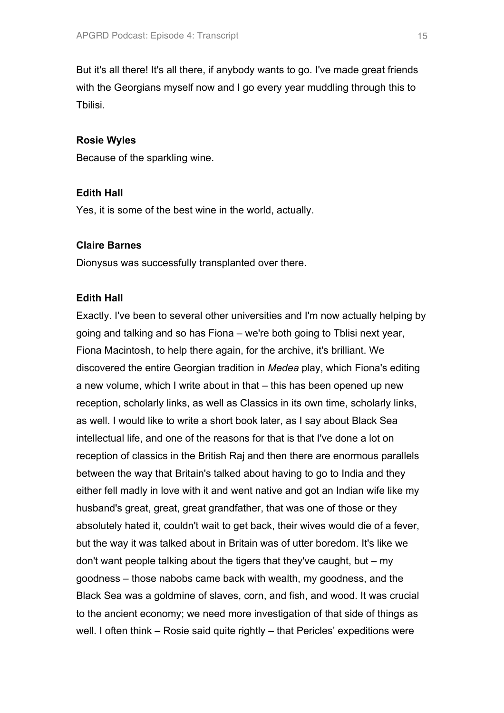But it's all there! It's all there, if anybody wants to go. I've made great friends with the Georgians myself now and I go every year muddling through this to Tbilisi.

## **Rosie Wyles**

Because of the sparkling wine.

## **Edith Hall**

Yes, it is some of the best wine in the world, actually.

## **Claire Barnes**

Dionysus was successfully transplanted over there.

## **Edith Hall**

Exactly. I've been to several other universities and I'm now actually helping by going and talking and so has Fiona – we're both going to Tblisi next year, Fiona Macintosh, to help there again, for the archive, it's brilliant. We discovered the entire Georgian tradition in *Medea* play, which Fiona's editing a new volume, which I write about in that – this has been opened up new reception, scholarly links, as well as Classics in its own time, scholarly links, as well. I would like to write a short book later, as I say about Black Sea intellectual life, and one of the reasons for that is that I've done a lot on reception of classics in the British Raj and then there are enormous parallels between the way that Britain's talked about having to go to India and they either fell madly in love with it and went native and got an Indian wife like my husband's great, great, great grandfather, that was one of those or they absolutely hated it, couldn't wait to get back, their wives would die of a fever, but the way it was talked about in Britain was of utter boredom. It's like we don't want people talking about the tigers that they've caught, but – my goodness – those nabobs came back with wealth, my goodness, and the Black Sea was a goldmine of slaves, corn, and fish, and wood. It was crucial to the ancient economy; we need more investigation of that side of things as well. I often think – Rosie said quite rightly – that Pericles' expeditions were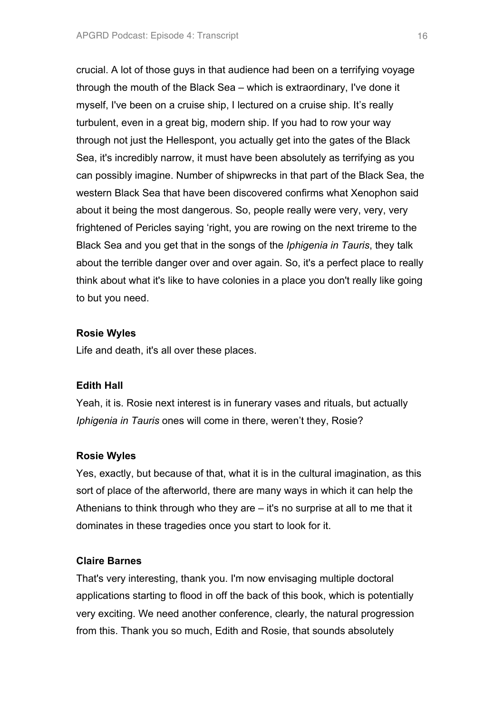crucial. A lot of those guys in that audience had been on a terrifying voyage through the mouth of the Black Sea – which is extraordinary, I've done it myself, I've been on a cruise ship, I lectured on a cruise ship. It's really turbulent, even in a great big, modern ship. If you had to row your way through not just the Hellespont, you actually get into the gates of the Black Sea, it's incredibly narrow, it must have been absolutely as terrifying as you can possibly imagine. Number of shipwrecks in that part of the Black Sea, the western Black Sea that have been discovered confirms what Xenophon said about it being the most dangerous. So, people really were very, very, very frightened of Pericles saying 'right, you are rowing on the next trireme to the Black Sea and you get that in the songs of the *Iphigenia in Tauris*, they talk about the terrible danger over and over again. So, it's a perfect place to really think about what it's like to have colonies in a place you don't really like going to but you need.

#### **Rosie Wyles**

Life and death, it's all over these places.

#### **Edith Hall**

Yeah, it is. Rosie next interest is in funerary vases and rituals, but actually *Iphigenia in Tauris* ones will come in there, weren't they, Rosie?

#### **Rosie Wyles**

Yes, exactly, but because of that, what it is in the cultural imagination, as this sort of place of the afterworld, there are many ways in which it can help the Athenians to think through who they are – it's no surprise at all to me that it dominates in these tragedies once you start to look for it.

## **Claire Barnes**

That's very interesting, thank you. I'm now envisaging multiple doctoral applications starting to flood in off the back of this book, which is potentially very exciting. We need another conference, clearly, the natural progression from this. Thank you so much, Edith and Rosie, that sounds absolutely